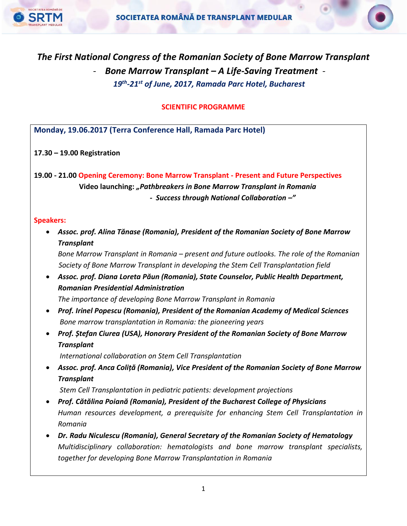

# *The First National Congress of the Romanian Society of Bone Marrow Transplant* - *Bone Marrow Transplant – A Life-Saving Treatment - 19th -21st of June, 2017, Ramada Parc Hotel, Bucharest*

**SCIENTIFIC PROGRAMME**

**Monday, 19.06.2017 (Terra Conference Hall, Ramada Parc Hotel)**

**17.30 – 19.00 Registration**

**19.00 - 21.00 Opening Ceremony: Bone Marrow Transplant - Present and Future Perspectives Video launching:** *"Pathbreakers in Bone Marrow Transplant in Romania - Success through National Collaboration –"*

#### **Speakers:**

 *Assoc. prof. Alina Tănase (Romania), President of the Romanian Society of Bone Marrow Transplant*

*Bone Marrow Transplant in Romania – present and future outlooks. The role of the Romanian Society of Bone Marrow Transplant in developing the Stem Cell Transplantation field*

 *Assoc. prof. Diana Loreta Păun (Romania), State Counselor, Public Health Department, Romanian Presidential Administration*

*The importance of developing Bone Marrow Transplant in Romania*

- *Prof. Irinel Popescu (Romania), President of the Romanian Academy of Medical Sciences Bone marrow transplantation in Romania: the pioneering years*
- *Prof. Ștefan Ciurea (USA), Honorary President of the Romanian Society of Bone Marrow Transplant*

*International collaboration on Stem Cell Transplantation* 

 *Assoc. prof. Anca Coliță (Romania), Vice President of the Romanian Society of Bone Marrow Transplant*

*Stem Cell Transplantation in pediatric patients: development projections*

- *Prof. Cătălina Poiană (Romania), President of the Bucharest College of Physicians Human resources development, a prerequisite for enhancing Stem Cell Transplantation in Romania*
- *Dr. Radu Niculescu (Romania), General Secretary of the Romanian Society of Hematology Multidisciplinary collaboration: hematologists and bone marrow transplant specialists, together for developing Bone Marrow Transplantation in Romania*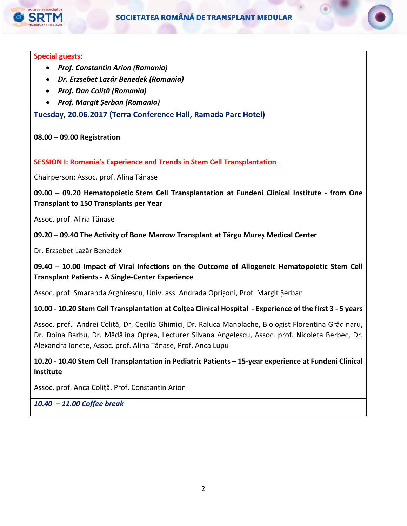

#### **Special guests:**

- *Prof. Constantin Arion (Romania)*
- *Dr. Erzsebet Lazăr Benedek (Romania)*
- *Prof. Dan Coliță (Romania)*
- *Prof. Margit Șerban (Romania)*

**Tuesday, 20.06.2017 (Terra Conference Hall, Ramada Parc Hotel)**

#### **08.00 – 09.00 Registration**

**SESSION I: Romania's Experience and Trends in Stem Cell Transplantation**

Chairperson: Assoc. prof. Alina Tănase

**09.00 – 09.20 Hematopoietic Stem Cell Transplantation at Fundeni Clinical Institute - from One Transplant to 150 Transplants per Year**

Assoc. prof. Alina Tănase

## **09.20 – 09.40 The Activity of Bone Marrow Transplant at Târgu Mureş Medical Center**

Dr. Erzsebet Lazăr Benedek

## **09.40 – 10.00 Impact of Viral Infections on the Outcome of Allogeneic Hematopoietic Stem Cell Transplant Patients - A Single-Center Experience**

Assoc. prof. Smaranda Arghirescu, Univ. ass. Andrada Oprișoni, Prof. Margit Șerban

**10.00 - 10.20 Stem Cell Transplantation at Colțea Clinical Hospital - Experience of the first 3 - 5 years**

Assoc. prof. Andrei Coliță, Dr. Cecilia Ghimici, Dr. Raluca Manolache, Biologist Florentina Grădinaru, Dr. Doina Barbu, Dr. Mădălina Oprea, Lecturer Silvana Angelescu, Assoc. prof. Nicoleta Berbec, Dr. Alexandra Ionete, Assoc. prof. Alina Tănase, Prof. Anca Lupu

**10.20 - 10.40 Stem Cell Transplantation in Pediatric Patients – 15-year experience at Fundeni Clinical Institute**

Assoc. prof. Anca Coliță, Prof. Constantin Arion

*10.40 – 11.00 Coffee break*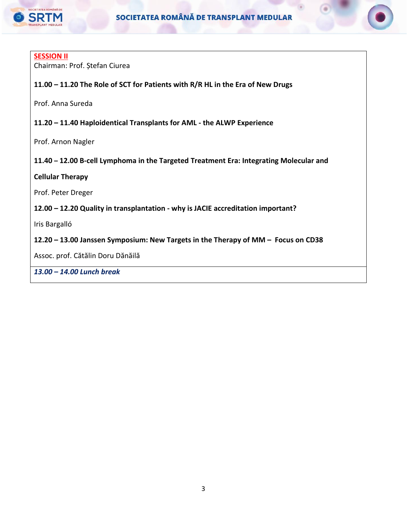

#### **SESSION II**

Chairman: Prof. Ștefan Ciurea

## **11.00 – 11.20 The Role of SCT for Patients with R/R HL in the Era of New Drugs**

Prof. Anna Sureda

#### **11.20 – 11.40 Haploidentical Transplants for AML - the ALWP Experience**

Prof. Arnon Nagler

## **11.40 – 12.00 B-cell Lymphoma in the Targeted Treatment Era: Integrating Molecular and**

#### **Cellular Therapy**

Prof. Peter Dreger

#### **12.00 – 12.20 Quality in transplantation - why is JACIE accreditation important?**

Iris Bargalló

#### **12.20 – 13.00 Janssen Symposium: New Targets in the Therapy of MM – Focus on CD38**

Assoc. prof. Cătălin Doru Dănăilă

*13.00 – 14.00 Lunch break*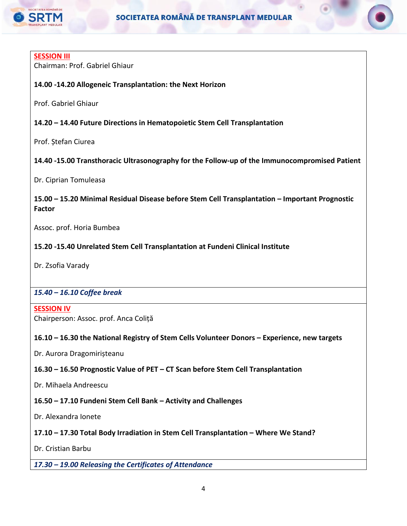

#### **SESSION III**

Chairman: Prof. Gabriel Ghiaur

## **14.00 -14.20 Allogeneic Transplantation: the Next Horizon**

Prof. Gabriel Ghiaur

#### **14.20 – 14.40 Future Directions in Hematopoietic Stem Cell Transplantation**

Prof. Ștefan Ciurea

## **14.40 -15.00 Transthoracic Ultrasonography for the Follow-up of the Immunocompromised Patient**

Dr. Ciprian Tomuleasa

## **15.00 – 15.20 Minimal Residual Disease before Stem Cell Transplantation – Important Prognostic Factor**

Assoc. prof. Horia Bumbea

## **15.20 -15.40 Unrelated Stem Cell Transplantation at Fundeni Clinical Institute**

Dr. Zsofia Varady

## *15.40 – 16.10 Coffee break*

#### **SESSION IV** Chairperson: Assoc. prof. Anca Coliță

## **16.10 – 16.30 the National Registry of Stem Cells Volunteer Donors – Experience, new targets**

Dr. Aurora Dragomirișteanu

## **16.30 – 16.50 Prognostic Value of PET – CT Scan before Stem Cell Transplantation**

Dr. Mihaela Andreescu

## **16.50 – 17.10 Fundeni Stem Cell Bank – Activity and Challenges**

Dr. Alexandra Ionete

## **17.10 – 17.30 Total Body Irradiation in Stem Cell Transplantation – Where We Stand?**

Dr. Cristian Barbu

#### *17.30 – 19.00 Releasing the Certificates of Attendance*